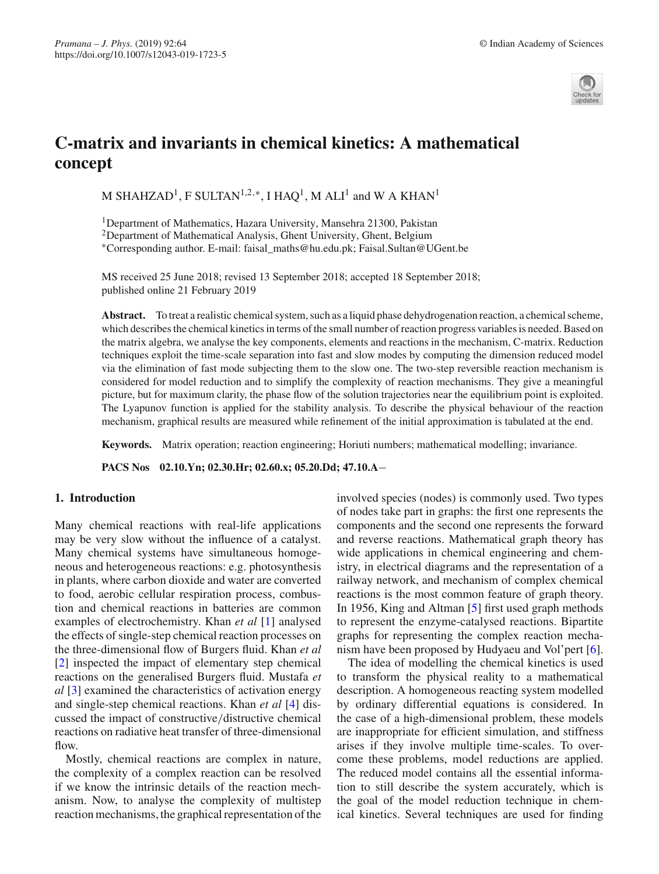

# **C-matrix and invariants in chemical kinetics: A mathematical concept**

M SHAHZAD<sup>1</sup>, F SULTAN<sup>1,2,∗</sup>, I HAQ<sup>1</sup>, M ALI<sup>1</sup> and W A KHAN<sup>1</sup>

1Department of Mathematics, Hazara University, Mansehra 21300, Pakistan 2Department of Mathematical Analysis, Ghent University, Ghent, Belgium ∗Corresponding author. E-mail: faisal\_maths@hu.edu.pk; Faisal.Sultan@UGent.be

MS received 25 June 2018; revised 13 September 2018; accepted 18 September 2018; published online 21 February 2019

**Abstract.** To treat a realistic chemical system, such as a liquid phase dehydrogenation reaction, a chemical scheme, which describes the chemical kinetics in terms of the small number of reaction progress variables is needed. Based on the matrix algebra, we analyse the key components, elements and reactions in the mechanism, C-matrix. Reduction techniques exploit the time-scale separation into fast and slow modes by computing the dimension reduced model via the elimination of fast mode subjecting them to the slow one. The two-step reversible reaction mechanism is considered for model reduction and to simplify the complexity of reaction mechanisms. They give a meaningful picture, but for maximum clarity, the phase flow of the solution trajectories near the equilibrium point is exploited. The Lyapunov function is applied for the stability analysis. To describe the physical behaviour of the reaction mechanism, graphical results are measured while refinement of the initial approximation is tabulated at the end.

**Keywords.** Matrix operation; reaction engineering; Horiuti numbers; mathematical modelling; invariance.

**PACS Nos 02.10.Yn; 02.30.Hr; 02.60.x; 05.20.Dd; 47.10.A**−

### **1. Introduction**

Many chemical reactions with real-life applications may be very slow without the influence of a catalyst. Many chemical systems have simultaneous homogeneous and heterogeneous reactions: e.g. photosynthesis in plants, where carbon dioxide and water are converted to food, aerobic cellular respiration process, combustion and chemical reactions in batteries are common examples of electrochemistry. Khan *et al* [\[1\]](#page-6-0) analysed the effects of single-step chemical reaction processes on the three-dimensional flow of Burgers fluid. Khan *et al* [\[2\]](#page-7-0) inspected the impact of elementary step chemical reactions on the generalised Burgers fluid. Mustafa *et al* [\[3\]](#page-7-1) examined the characteristics of activation energy and single-step chemical reactions. Khan *et al* [\[4](#page-7-2)] discussed the impact of constructive/distructive chemical reactions on radiative heat transfer of three-dimensional flow.

Mostly, chemical reactions are complex in nature, the complexity of a complex reaction can be resolved if we know the intrinsic details of the reaction mechanism. Now, to analyse the complexity of multistep reaction mechanisms, the graphical representation of the involved species (nodes) is commonly used. Two types of nodes take part in graphs: the first one represents the components and the second one represents the forward and reverse reactions. Mathematical graph theory has wide applications in chemical engineering and chemistry, in electrical diagrams and the representation of a railway network, and mechanism of complex chemical reactions is the most common feature of graph theory. In 1956, King and Altman [\[5\]](#page-7-3) first used graph methods to represent the enzyme-catalysed reactions. Bipartite graphs for representing the complex reaction mechanism have been proposed by Hudyaeu and Vol'pert [\[6](#page-7-4)].

The idea of modelling the chemical kinetics is used to transform the physical reality to a mathematical description. A homogeneous reacting system modelled by ordinary differential equations is considered. In the case of a high-dimensional problem, these models are inappropriate for efficient simulation, and stiffness arises if they involve multiple time-scales. To overcome these problems, model reductions are applied. The reduced model contains all the essential information to still describe the system accurately, which is the goal of the model reduction technique in chemical kinetics. Several techniques are used for finding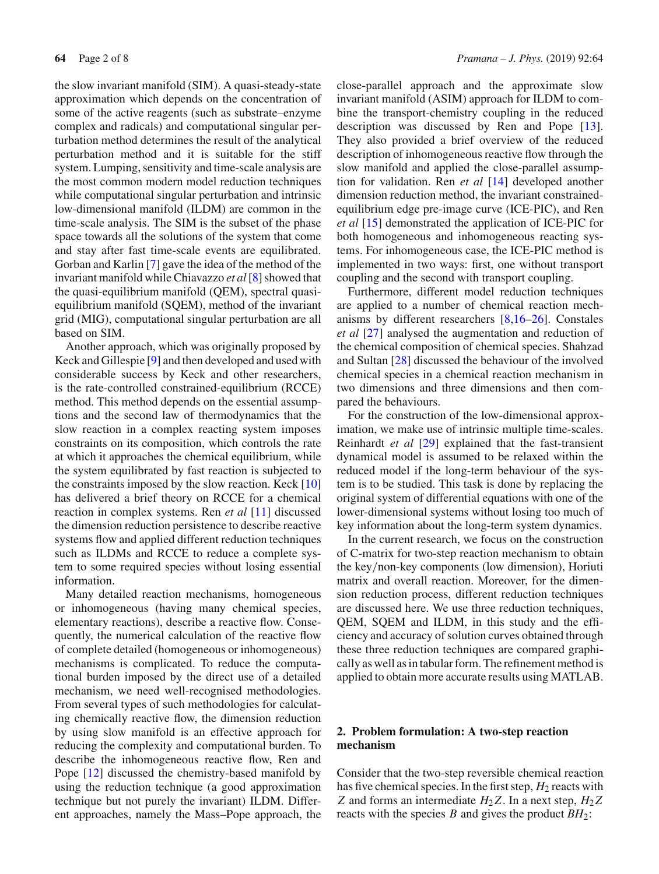the slow invariant manifold (SIM). A quasi-steady-state approximation which depends on the concentration of some of the active reagents (such as substrate–enzyme complex and radicals) and computational singular perturbation method determines the result of the analytical perturbation method and it is suitable for the stiff system. Lumping, sensitivity and time-scale analysis are the most common modern model reduction techniques while computational singular perturbation and intrinsic low-dimensional manifold (ILDM) are common in the time-scale analysis. The SIM is the subset of the phase space towards all the solutions of the system that come and stay after fast time-scale events are equilibrated. Gorban and Karlin [\[7](#page-7-5)] gave the idea of the method of the invariant manifold while Chiavazzo *et al*[\[8\]](#page-7-6) showed that the quasi-equilibrium manifold (QEM), spectral quasiequilibrium manifold (SQEM), method of the invariant grid (MIG), computational singular perturbation are all based on SIM.

Another approach, which was originally proposed by Keck and Gillespie [\[9\]](#page-7-7) and then developed and used with considerable success by Keck and other researchers, is the rate-controlled constrained-equilibrium (RCCE) method. This method depends on the essential assumptions and the second law of thermodynamics that the slow reaction in a complex reacting system imposes constraints on its composition, which controls the rate at which it approaches the chemical equilibrium, while the system equilibrated by fast reaction is subjected to the constraints imposed by the slow reaction. Keck [\[10\]](#page-7-8) has delivered a brief theory on RCCE for a chemical reaction in complex systems. Ren *et al* [\[11](#page-7-9)] discussed the dimension reduction persistence to describe reactive systems flow and applied different reduction techniques such as ILDMs and RCCE to reduce a complete system to some required species without losing essential information.

Many detailed reaction mechanisms, homogeneous or inhomogeneous (having many chemical species, elementary reactions), describe a reactive flow. Consequently, the numerical calculation of the reactive flow of complete detailed (homogeneous or inhomogeneous) mechanisms is complicated. To reduce the computational burden imposed by the direct use of a detailed mechanism, we need well-recognised methodologies. From several types of such methodologies for calculating chemically reactive flow, the dimension reduction by using slow manifold is an effective approach for reducing the complexity and computational burden. To describe the inhomogeneous reactive flow, Ren and Pope [\[12\]](#page-7-10) discussed the chemistry-based manifold by using the reduction technique (a good approximation technique but not purely the invariant) ILDM. Different approaches, namely the Mass–Pope approach, the close-parallel approach and the approximate slow invariant manifold (ASIM) approach for ILDM to combine the transport-chemistry coupling in the reduced description was discussed by Ren and Pope [\[13](#page-7-11)]. They also provided a brief overview of the reduced description of inhomogeneous reactive flow through the slow manifold and applied the close-parallel assumption for validation. Ren *et al* [\[14\]](#page-7-12) developed another dimension reduction method, the invariant constrainedequilibrium edge pre-image curve (ICE-PIC), and Ren *et al* [\[15\]](#page-7-13) demonstrated the application of ICE-PIC for both homogeneous and inhomogeneous reacting systems. For inhomogeneous case, the ICE-PIC method is implemented in two ways: first, one without transport coupling and the second with transport coupling.

Furthermore, different model reduction techniques are applied to a number of chemical reaction mechanisms by different researchers [\[8](#page-7-6)[,16](#page-7-14)[–26\]](#page-7-15). Constales *et al* [\[27\]](#page-7-16) analysed the augmentation and reduction of the chemical composition of chemical species. Shahzad and Sultan [\[28\]](#page-7-17) discussed the behaviour of the involved chemical species in a chemical reaction mechanism in two dimensions and three dimensions and then compared the behaviours.

For the construction of the low-dimensional approximation, we make use of intrinsic multiple time-scales. Reinhardt *et al* [\[29](#page-7-18)] explained that the fast-transient dynamical model is assumed to be relaxed within the reduced model if the long-term behaviour of the system is to be studied. This task is done by replacing the original system of differential equations with one of the lower-dimensional systems without losing too much of key information about the long-term system dynamics.

In the current research, we focus on the construction of C-matrix for two-step reaction mechanism to obtain the key/non-key components (low dimension), Horiuti matrix and overall reaction. Moreover, for the dimension reduction process, different reduction techniques are discussed here. We use three reduction techniques, QEM, SQEM and ILDM, in this study and the efficiency and accuracy of solution curves obtained through these three reduction techniques are compared graphically as well as in tabular form. The refinement method is applied to obtain more accurate results using MATLAB.

## **2. Problem formulation: A two-step reaction mechanism**

Consider that the two-step reversible chemical reaction has five chemical species. In the first step,  $H_2$  reacts with *Z* and forms an intermediate  $H_2Z$ . In a next step,  $H_2Z$ reacts with the species *B* and gives the product *BH*2: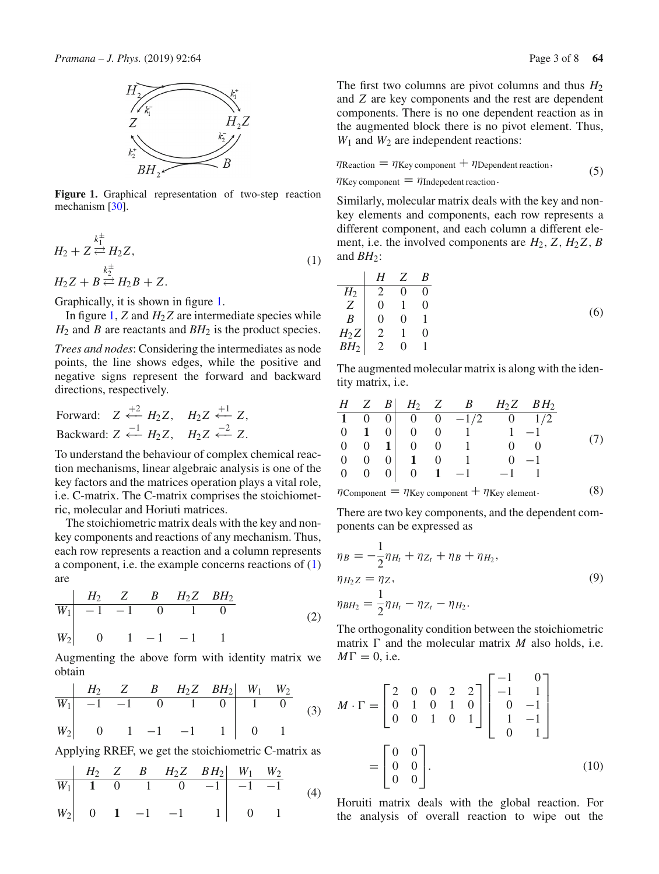

<span id="page-2-0"></span>**Figure 1.** Graphical representation of two-step reaction mechanism [\[30\]](#page-7-19).

<span id="page-2-1"></span>
$$
H_2 + Z \stackrel{k_1^{\pm}}{\rightleftharpoons} H_2 Z,
$$
  
\n
$$
H_2 Z + B \stackrel{k_2^{\pm}}{\rightleftharpoons} H_2 B + Z.
$$
\n(1)

Graphically, it is shown in figure [1.](#page-2-0)

In figure [1,](#page-2-0)  $Z$  and  $H_2Z$  are intermediate species while  $H_2$  and *B* are reactants and  $BH_2$  is the product species.

*Trees and nodes*: Considering the intermediates as node points, the line shows edges, while the positive and negative signs represent the forward and backward directions, respectively.

Forward:  $Z \stackrel{+2}{\leftarrow} H_2 Z$ ,  $H_2 Z \stackrel{+1}{\leftarrow} Z$ , Backward:  $Z \stackrel{-1}{\leftarrow} H_2 Z$ ,  $H_2 Z \stackrel{-2}{\leftarrow} Z$ .

To understand the behaviour of complex chemical reaction mechanisms, linear algebraic analysis is one of the key factors and the matrices operation plays a vital role, i.e. C-matrix. The C-matrix comprises the stoichiometric, molecular and Horiuti matrices.

The stoichiometric matrix deals with the key and nonkey components and reactions of any mechanism. Thus, each row represents a reaction and a column represents a component, i.e. the example concerns reactions of [\(1\)](#page-2-1) are

$$
\begin{array}{c|cccc}\n & H_2 & Z & B & H_2Z & BH_2\\ \n\hline\nW_1 & -1 & -1 & 0 & 1 & 0\\ \nW_2 & 0 & 1 & -1 & -1 & 1\n\end{array} \tag{2}
$$

Augmenting the above form with identity matrix we obtain

$$
\begin{array}{c|cccc}\n& H_2 & Z & B & H_2 Z & B H_2 & W_1 & W_2 \\
\hline\nW_1 & -1 & -1 & 0 & 1 & 0 & 1 & 0 \\
W_2 & 0 & 1 & -1 & -1 & 1 & 0 & 1\n\end{array}\n\tag{3}
$$

Applying RREF, we get the stoichiometric C-matrix as

$$
\begin{array}{c|cccc}\n & H_2 & Z & B & H_2Z & BH_2 & W_1 & W_2 \\
\hline\nW_1 & 1 & 0 & 1 & 0 & -1 & -1 & -1 \\
W_2 & 0 & 1 & -1 & -1 & 1 & 0 & 1\n\end{array} \tag{4}
$$

The first two columns are pivot columns and thus  $H_2$ and *Z* are key components and the rest are dependent components. There is no one dependent reaction as in the augmented block there is no pivot element. Thus, *W*<sup>1</sup> and *W*<sup>2</sup> are independent reactions:

$$
\eta_{\text{Reaction}} = \eta_{\text{Key component}} + \eta_{\text{Dependent reaction}},
$$
\n
$$
\eta_{\text{Key component}} = \eta_{\text{Independent reaction}}.
$$
\n(5)

Similarly, molecular matrix deals with the key and nonkey elements and components, each row represents a different component, and each column a different element, i.e. the involved components are  $H_2$ ,  $Z$ ,  $H_2Z$ ,  $B$ and  $BH_2$ :

$$
\begin{array}{c|cccc}\n & H & Z & B \\
\hline\nH_2 & 2 & 0 & 0 \\
Z & 0 & 1 & 0 \\
B & 0 & 0 & 1 \\
H_2Z & 2 & 1 & 0 \\
BH_2 & 2 & 0 & 1\n\end{array}
$$
\n(6)

The augmented molecular matrix is along with the identity matrix, i.e.

$$
\begin{array}{ccccccccc}\nH & Z & B & H_2 & Z & B & H_2Z & BH_2\\
\hline\n1 & 0 & 0 & 0 & 0 & -1/2 & 0 & 1/2\\
0 & 1 & 0 & 0 & 0 & 1 & 1 & -1\\
0 & 0 & 1 & 0 & 0 & 1 & 0 & 0\\
0 & 0 & 0 & 1 & 0 & 1 & 0 & -1\\
0 & 0 & 0 & 0 & 1 & -1 & -1 & 1\n\end{array} \tag{7}
$$

$$
\eta_{\text{Component}} = \eta_{\text{Key component}} + \eta_{\text{Key element}}.\tag{8}
$$

There are two key components, and the dependent components can be expressed as

$$
\eta_B = -\frac{1}{2}\eta_{H_t} + \eta_{Z_t} + \eta_B + \eta_{H_2},
$$
  
\n
$$
\eta_{H_2 Z} = \eta_{Z},
$$
  
\n
$$
\eta_{BH_2} = \frac{1}{2}\eta_{H_t} - \eta_{Z_t} - \eta_{H_2}.
$$
\n(9)

The orthogonality condition between the stoichiometric matrix  $\Gamma$  and the molecular matrix *M* also holds, i.e.  $M\Gamma = 0$ , i.e.

$$
M \cdot \Gamma = \begin{bmatrix} 2 & 0 & 0 & 2 & 2 \\ 0 & 1 & 0 & 1 & 0 \\ 0 & 0 & 1 & 0 & 1 \end{bmatrix} \begin{bmatrix} -1 & 0 \\ -1 & 1 \\ 0 & -1 \\ 1 & -1 \\ 0 & 1 \end{bmatrix}
$$

$$
= \begin{bmatrix} 0 & 0 \\ 0 & 0 \\ 0 & 0 \end{bmatrix}.
$$
(10)

Horuiti matrix deals with the global reaction. For the analysis of overall reaction to wipe out the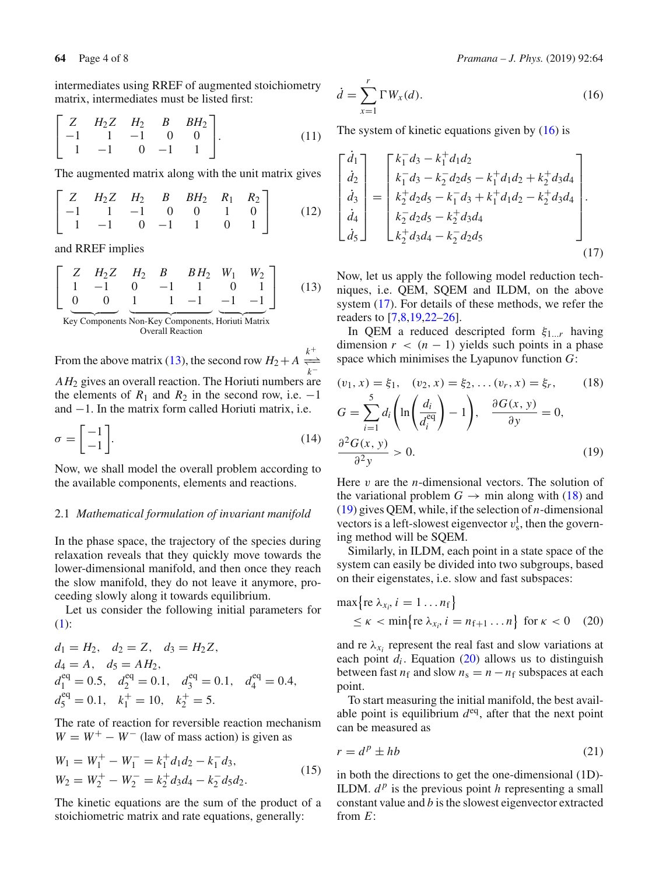intermediates using RREF of augmented stoichiometry matrix, intermediates must be listed first:

$$
\begin{bmatrix} Z & H_2Z & H_2 & B & BH_2 \\ -1 & 1 & -1 & 0 & 0 \\ 1 & -1 & 0 & -1 & 1 \end{bmatrix}.
$$
 (11)

The augmented matrix along with the unit matrix gives

$$
\begin{bmatrix} Z & H_2Z & H_2 & B & BH_2 & R_1 & R_2 \ -1 & 1 & -1 & 0 & 0 & 1 & 0 \ 1 & -1 & 0 & -1 & 1 & 0 & 1 \ \end{bmatrix}
$$
 (12)

<span id="page-3-0"></span>and RREF implies

$$
\left[\begin{array}{cccccc}\nZ & H_2Z & H_2 & B & BH_2 & W_1 & W_2 \\
1 & -1 & 0 & -1 & 1 & 0 & 1 \\
0 & 0 & 1 & 1 & -1 & -1 & -1\n\end{array}\right]
$$
(13)

Key Components Non-Key Components, Horiuti Matrix Overall Reaction

From the above matrix [\(13\)](#page-3-0), the second row  $H_2 + A \frac{k^+}{\sqrt{h_1}}$ − <sup>−</sup> *k*− *AH*<sup>2</sup> gives an overall reaction. The Horiuti numbers are the elements of  $R_1$  and  $R_2$  in the second row, i.e.  $-1$ and −1. In the matrix form called Horiuti matrix, i.e.

$$
\sigma = \begin{bmatrix} -1 \\ -1 \end{bmatrix}.
$$
 (14)

Now, we shall model the overall problem according to the available components, elements and reactions.

#### 2.1 *Mathematical formulation of invariant manifold*

In the phase space, the trajectory of the species during relaxation reveals that they quickly move towards the lower-dimensional manifold, and then once they reach the slow manifold, they do not leave it anymore, proceeding slowly along it towards equilibrium.

Let us consider the following initial parameters for [\(1\)](#page-2-1):

$$
d_1 = H_2, \quad d_2 = Z, \quad d_3 = H_2 Z,
$$
  
\n
$$
d_4 = A, \quad d_5 = AH_2,
$$
  
\n
$$
d_1^{eq} = 0.5, \quad d_2^{eq} = 0.1, \quad d_3^{eq} = 0.1, \quad d_4^{eq} = 0.4,
$$
  
\n
$$
d_5^{eq} = 0.1, \quad k_1^+ = 10, \quad k_2^+ = 5.
$$

The rate of reaction for reversible reaction mechanism  $W = W^+ - W^-$  (law of mass action) is given as

$$
W_1 = W_1^+ - W_1^- = k_1^+ d_1 d_2 - k_1^- d_3,
$$
  
\n
$$
W_2 = W_2^+ - W_2^- = k_2^+ d_3 d_4 - k_2^- d_5 d_2.
$$
\n(15)

The kinetic equations are the sum of the product of a stoichiometric matrix and rate equations, generally:

<span id="page-3-2"></span>
$$
f_{\rm{max}}(x)=\frac{1}{2}x^2+\frac{1}{2}x^2+\frac{1}{2}x^2+\frac{1}{2}x^2+\frac{1}{2}x^2+\frac{1}{2}x^2+\frac{1}{2}x^2+\frac{1}{2}x^2+\frac{1}{2}x^2+\frac{1}{2}x^2+\frac{1}{2}x^2+\frac{1}{2}x^2+\frac{1}{2}x^2+\frac{1}{2}x^2+\frac{1}{2}x^2+\frac{1}{2}x^2+\frac{1}{2}x^2+\frac{1}{2}x^2+\frac{1}{2}x^2+\frac{1}{2}x^2+\frac{1}{2}x^2+\frac{1}{2}x^2+\frac{1}{2}x^2+\frac{1}{2}x^2+\frac{1}{2}x^2+\frac{1}{2}x^2+\frac{1}{2}x^2+\frac{1}{2}x^2+\frac{1}{2}x^2+\frac{1}{2}x^2+\frac{1}{2}x^2+\frac{1}{2}x^2+\frac{1}{2}x^2+\frac{1}{2}x^2+\frac{1}{2}x^2+\frac{1}{2}x^2+\frac{1}{2}x^2+\frac{1}{2}x^2+\frac{1}{2}x^2+\frac{1}{2}x^2+\frac{1}{2}x^2+\frac{1}{2}x^2+\frac{1}{2}x^2+\frac{1}{2}x^2+\frac{1}{2}x^2+\frac{1}{2}x^2+\frac{1}{2}x^2+\frac{1}{2}x^2+\frac{1}{2}x^2+\frac{1}{2}x^2+\frac{1}{2}x^2+\frac{1}{2}x^2+\frac{1}{2}x^2+\frac{1}{2}x^2+\frac{1}{2}x^2+\frac{1}{2}x^2+\frac{1}{2}x^2+\frac{1}{2}x^2+\frac{1}{2}x^2+\frac{1}{2}x^2+\frac{1}{2}x^2+\frac{1}{2}x^2+\frac{1}{2}x^2+\frac{1}{2}x^2+\frac{1}{2}x^2+\frac{1}{2}x^2+\frac{1}{2}x^2+\frac{1}{2}x^2+\frac{1}{2}x^2+\frac{1}{2}x^2+\frac{1}{2}x^2+\frac{1}{2}x^2+\frac{1}{2}x^2+\frac{1}{2}x^2+\frac{1}{2}x^
$$

$$
\dot{d} = \sum_{x=1}^{r} \Gamma W_x(d). \tag{16}
$$

The system of kinetic equations given by  $(16)$  is

$$
\begin{bmatrix}\n\dot{d}_1 \\
\dot{d}_2 \\
\dot{d}_3 \\
\dot{d}_4 \\
\dot{d}_5\n\end{bmatrix} = \begin{bmatrix}\nk_1^- d_3 - k_1^+ d_1 d_2 \\
k_1^- d_3 - k_2^- d_2 d_5 - k_1^+ d_1 d_2 + k_2^+ d_3 d_4 \\
k_2^+ d_2 d_5 - k_1^- d_3 + k_1^+ d_1 d_2 - k_2^+ d_3 d_4 \\
k_2^- d_2 d_5 - k_2^+ d_3 d_4 \\
k_2^+ d_3 d_4 - k_2^- d_2 d_5\n\end{bmatrix} .
$$
\n(17)

Now, let us apply the following model reduction techniques, i.e. QEM, SQEM and ILDM, on the above system [\(17\)](#page-3-2). For details of these methods, we refer the readers to [\[7](#page-7-5)[,8](#page-7-6)[,19](#page-7-20)[,22](#page-7-21)[–26](#page-7-15)].

In QEM a reduced descripted form ξ1...*<sup>r</sup>* having dimension  $r < (n - 1)$  yields such points in a phase space which minimises the Lyapunov function *G*:

<span id="page-3-3"></span>
$$
(v_1, x) = \xi_1, \quad (v_2, x) = \xi_2, \dots (v_r, x) = \xi_r,
$$
\n
$$
G = \sum_{i=1}^5 d_i \left( \ln \left( \frac{d_i}{d_i^{eq}} \right) - 1 \right), \quad \frac{\partial G(x, y)}{\partial y} = 0,
$$
\n
$$
\frac{\partial^2 G(x, y)}{\partial^2 y} > 0.
$$
\n(19)

Here v are the *n*-dimensional vectors. The solution of the variational problem  $G \rightarrow$  min along with [\(18\)](#page-3-3) and [\(19\)](#page-3-3) gives QEM, while, if the selection of *n*-dimensional vectors is a left-slowest eigenvector  $v_s^l$ , then the governing method will be SQEM.

Similarly, in ILDM, each point in a state space of the system can easily be divided into two subgroups, based on their eigenstates, i.e. slow and fast subspaces:

<span id="page-3-4"></span>
$$
\max \{ \text{re } \lambda_{x_i}, i = 1 \dots n_f \}
$$
  
 
$$
\le \kappa < \min \{ \text{re } \lambda_{x_i}, i = n_{f+1} \dots n \} \text{ for } \kappa < 0 \quad (20)
$$

and re  $\lambda_{x_i}$  represent the real fast and slow variations at each point  $d_i$ . Equation [\(20\)](#page-3-4) allows us to distinguish between fast  $n_f$  and slow  $n_s = n - n_f$  subspaces at each point.

To start measuring the initial manifold, the best available point is equilibrium  $d^{eq}$ , after that the next point can be measured as

<span id="page-3-5"></span>
$$
r = d^p \pm hb \tag{21}
$$

<span id="page-3-1"></span>in both the directions to get the one-dimensional (1D)- ILDM.  $d^p$  is the previous point *h* representing a small constant value and *b* is the slowest eigenvector extracted from *E*: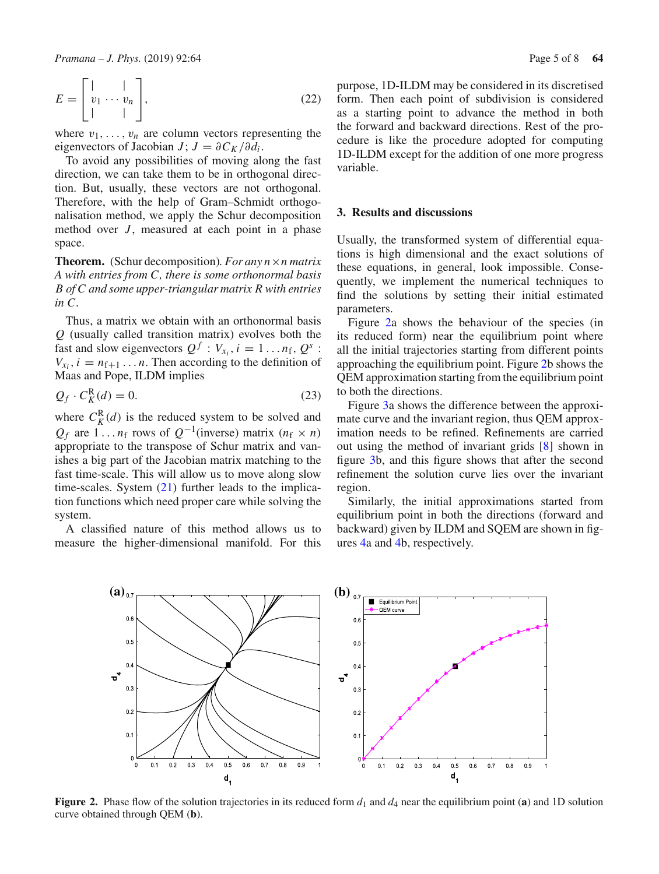$$
E = \begin{bmatrix} | & | \\ v_1 & \cdots & v_n \\ | & | & \end{bmatrix},\tag{22}
$$

where  $v_1, \ldots, v_n$  are column vectors representing the eigenvectors of Jacobian *J*;  $J = \partial C_K / \partial d_i$ .

To avoid any possibilities of moving along the fast direction, we can take them to be in orthogonal direction. But, usually, these vectors are not orthogonal. Therefore, with the help of Gram–Schmidt orthogonalisation method, we apply the Schur decomposition method over *J*, measured at each point in a phase space.

**Theorem.** (Schur decomposition)*. For any n*×*n matrix A with entries from C, there is some orthonormal basis B of C and some upper-triangular matrix R with entries in C.*

Thus, a matrix we obtain with an orthonormal basis *Q* (usually called transition matrix) evolves both the fast and slow eigenvectors  $Q^f : V_{x_i}, i = 1...n_f, Q^s$ :  $V_{x_i}$ ,  $i = n_{f+1} \dots n$ . Then according to the definition of Maas and Pope, ILDM implies

$$
Q_f \cdot C_K^R(d) = 0. \tag{23}
$$

where  $C_K^R(d)$  is the reduced system to be solved and  $Q_f$  are 1... *n*<sub>f</sub> rows of  $Q^{-1}$ (inverse) matrix (*n*<sub>f</sub> × *n*) appropriate to the transpose of Schur matrix and vanishes a big part of the Jacobian matrix matching to the fast time-scale. This will allow us to move along slow time-scales. System  $(21)$  further leads to the implication functions which need proper care while solving the system.

A classified nature of this method allows us to measure the higher-dimensional manifold. For this purpose, 1D-ILDM may be considered in its discretised form. Then each point of subdivision is considered as a starting point to advance the method in both the forward and backward directions. Rest of the procedure is like the procedure adopted for computing 1D-ILDM except for the addition of one more progress variable.

#### **3. Results and discussions**

Usually, the transformed system of differential equations is high dimensional and the exact solutions of these equations, in general, look impossible. Consequently, we implement the numerical techniques to find the solutions by setting their initial estimated parameters.

Figure [2a](#page-4-0) shows the behaviour of the species (in its reduced form) near the equilibrium point where all the initial trajectories starting from different points approaching the equilibrium point. Figure [2b](#page-4-0) shows the QEM approximation starting from the equilibrium point to both the directions.

Figure [3a](#page-5-0) shows the difference between the approximate curve and the invariant region, thus QEM approximation needs to be refined. Refinements are carried out using the method of invariant grids [\[8\]](#page-7-6) shown in figure [3b](#page-5-0), and this figure shows that after the second refinement the solution curve lies over the invariant region.

Similarly, the initial approximations started from equilibrium point in both the directions (forward and backward) given by ILDM and SQEM are shown in figures [4a](#page-5-1) and [4b](#page-5-1), respectively.



<span id="page-4-0"></span>**Figure 2.** Phase flow of the solution trajectories in its reduced form  $d_1$  and  $d_4$  near the equilibrium point (**a**) and 1D solution curve obtained through QEM (**b**).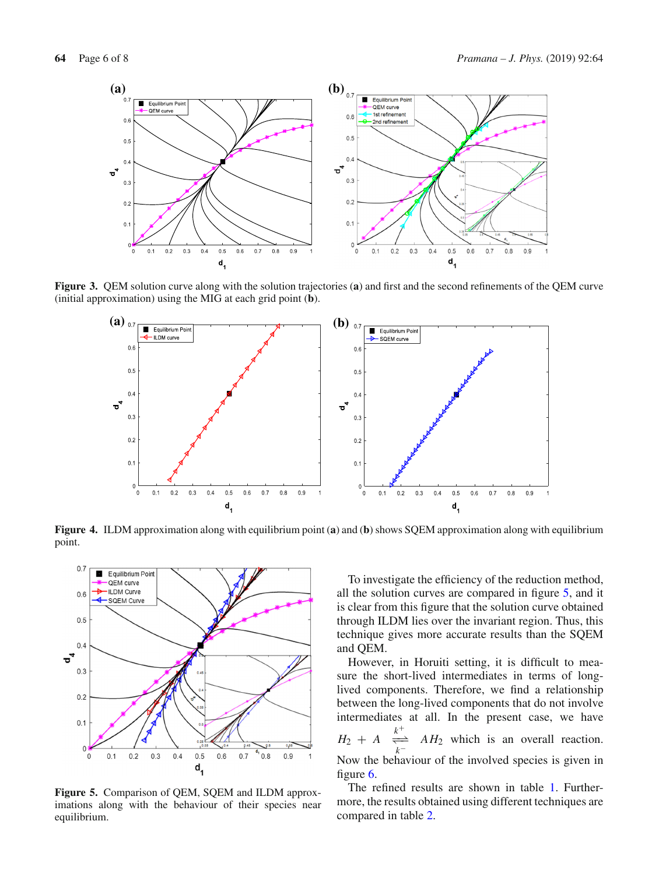

**Figure 3.** QEM solution curve along with the solution trajectories (**a**) and first and the second refinements of the QEM curve (initial approximation) using the MIG at each grid point (**b**).

<span id="page-5-0"></span>

<span id="page-5-1"></span>**Figure 4.** ILDM approximation along with equilibrium point (**a**) and (**b**) shows SQEM approximation along with equilibrium point.



<span id="page-5-2"></span>**Figure 5.** Comparison of QEM, SQEM and ILDM approximations along with the behaviour of their species near equilibrium.

To investigate the efficiency of the reduction method, all the solution curves are compared in figure [5,](#page-5-2) and it is clear from this figure that the solution curve obtained through ILDM lies over the invariant region. Thus, this technique gives more accurate results than the SQEM and QEM.

However, in Horuiti setting, it is difficult to measure the short-lived intermediates in terms of longlived components. Therefore, we find a relationship between the long-lived components that do not involve intermediates at all. In the present case, we have  $H_2 + A$ *k*+ −  $\frac{1}{\sqrt{n}}$ *k*− Now the behaviour of the involved species is given in *AH*<sup>2</sup> which is an overall reaction. figure [6.](#page-6-1)

The refined results are shown in table [1.](#page-6-2) Furthermore, the results obtained using different techniques are compared in table [2.](#page-6-3)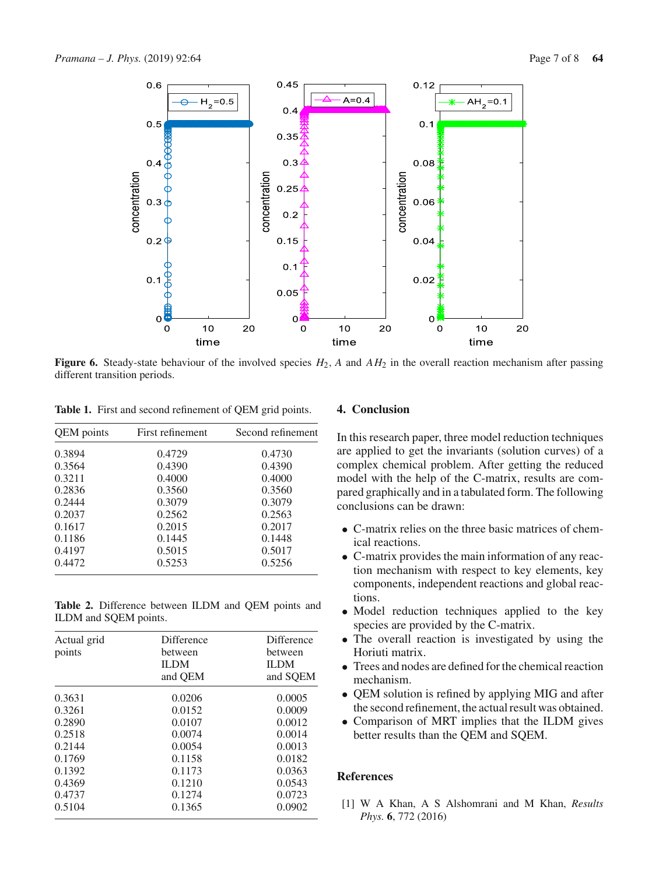

<span id="page-6-1"></span>**Figure 6.** Steady-state behaviour of the involved species  $H_2$ , A and  $AH_2$  in the overall reaction mechanism after passing different transition periods.

<span id="page-6-2"></span>**Table 1.** First and second refinement of QEM grid points.

| QEM points | First refinement | Second refinement |
|------------|------------------|-------------------|
| 0.3894     | 0.4729           | 0.4730            |
| 0.3564     | 0.4390           | 0.4390            |
| 0.3211     | 0.4000           | 0.4000            |
| 0.2836     | 0.3560           | 0.3560            |
| 0.2444     | 0.3079           | 0.3079            |
| 0.2037     | 0.2562           | 0.2563            |
| 0.1617     | 0.2015           | 0.2017            |
| 0.1186     | 0.1445           | 0.1448            |
| 0.4197     | 0.5015           | 0.5017            |
| 0.4472     | 0.5253           | 0.5256            |

<span id="page-6-3"></span>**Table 2.** Difference between ILDM and QEM points and ILDM and SQEM points.

| Actual grid<br>points | <b>Difference</b><br>between<br><b>ILDM</b><br>and QEM | Difference<br>between<br><b>ILDM</b><br>and SOEM |
|-----------------------|--------------------------------------------------------|--------------------------------------------------|
| 0.3631                | 0.0206                                                 | 0.0005                                           |
| 0.3261                | 0.0152                                                 | 0.0009                                           |
| 0.2890                | 0.0107                                                 | 0.0012                                           |
| 0.2518                | 0.0074                                                 | 0.0014                                           |
| 0.2144                | 0.0054                                                 | 0.0013                                           |
| 0.1769                | 0.1158                                                 | 0.0182                                           |
| 0.1392                | 0.1173                                                 | 0.0363                                           |
| 0.4369                | 0.1210                                                 | 0.0543                                           |
| 0.4737                | 0.1274                                                 | 0.0723                                           |
| 0.5104                | 0.1365                                                 | 0.0902                                           |

# **4. Conclusion**

In this research paper, three model reduction techniques are applied to get the invariants (solution curves) of a complex chemical problem. After getting the reduced model with the help of the C-matrix, results are compared graphically and in a tabulated form. The following conclusions can be drawn:

- C-matrix relies on the three basic matrices of chemical reactions.
- C-matrix provides the main information of any reaction mechanism with respect to key elements, key components, independent reactions and global reactions.
- Model reduction techniques applied to the key species are provided by the C-matrix.
- The overall reaction is investigated by using the Horiuti matrix.
- Trees and nodes are defined for the chemical reaction mechanism.
- QEM solution is refined by applying MIG and after the second refinement, the actual result was obtained.
- Comparison of MRT implies that the ILDM gives better results than the QEM and SQEM.

# **References**

<span id="page-6-0"></span>[1] W A Khan, A S Alshomrani and M Khan, *Results Phys.* **6**, 772 (2016)